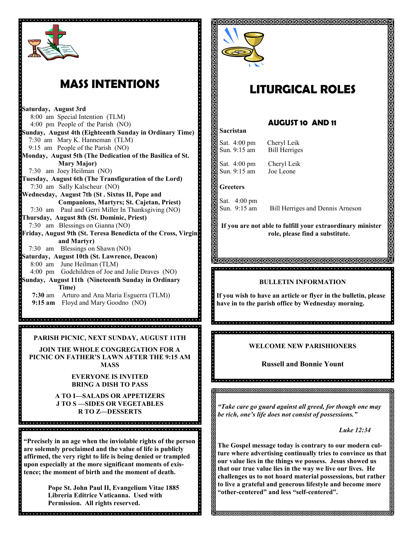

## **MASS INTENTIONS**

**Saturday, August 3rd** 8:00 am Special Intention (TLM) 4:00 pm People of the Parish (NO) **Sunday, August 4th (Eighteenth Sunday in Ordinary Time)** 7:30 am Mary K. Hanneman (TLM) 9:15 am People of the Parish (NO) **Monday, August 5th (The Dedication of the Basilica of St. Mary Major)** 7:30 am Joey Heilman (NO) **Tuesday, August 6th (The Transfiguration of the Lord)** 7:30 am Sally Kalscheur (NO) **Wednesday, August 7th (St . Sixtus II, Pope and Companions, Martyrs; St. Cajetan, Priest)** 7:30 am Paul and Gerri Miller In Thanksgiving (NO) **Thursday, August 8th (St. Dominic, Priest)** 7:30 am Blessings on Gianna (NO) **Friday, August 9th (St. Teresa Benedicta of the Cross, Virgin and Martyr)** 7:30 am Blessings on Shawn (NO) **Saturday, August 10th (St. Lawrence, Deacon)** 8:00 am June Heilman (TLM) 4:00 pm Godchildren of Joe and Julie Draves (NO) **Sunday, August 11th (Nineteenth Sunday in Ordinary Time) 7:30** am Arturo and Ana Maria Esguerra (TLM)) **9:15 am** Floyd and Mary Goodno (NO**)**

**PARISH PICNIC, NEXT SUNDAY, AUGUST 11TH**

**JOIN THE WHOLE CONGREGATION FOR A PICNIC ON FATHER'S LAWN AFTER THE 9:15 AM MASS**

> **EVERYONE IS INVITED BRING A DISH TO PASS**

**A TO I—SALADS OR APPETIZERS J TO S —SIDES OR VEGETABLES R TO Z—DESSERTS**

o<br>Octobra de oceano de de croca de de de de de de de de deceder de de de de de de de

**"Precisely in an age when the inviolable rights of the person are solemnly proclaimed and the value of life is publicly affirmed, the very right to life is being denied or trampled upon especially at the more significant moments of existence; the moment of birth and the moment of death.**

> **Pope St. John Paul II, Evangelium Vitae 1885 Libreria Editrice Vaticanna. Used with Permission. All rights reserved.**



## **LITURGICAL ROLES**

### **AUGUST 10 AND 11**

**Sacristan**

Sat. 4:00 pm Cheryl Leik Sun. 9:15 am Bill Herriges

Sat. 4:00 pm Cheryl Leik<br>Sun. 9:15 am Joe Leone Sun.  $9:15$  am

#### **Greeters**

Sat. 4:00 pm<br>Sun. 9:15 am

Bill Herriges and Dennis Arneson

**If you are not able to fulfill your extraordinary minister role, please find a substitute.** 

<u>A RIRRRRRRRRRRRRRRRRRRRRRRRRR</u> 

#### **BULLETIN INFORMATION**

 $\mathbf{\cdot}$ **If you wish to have an article or flyer in the bulletin, please have in to the parish office by Wednesday morning.**

<u>a distribuir de de concerta de la distribuir de la distribuir de la distribuir de la distribuir de la dis</u>

**WELCOME NEW PARISHIONERS**

**Russell and Bonnie Yount**

*"Take care go guard against all greed, for though one may be rich, one's life does not consist of possessions."*

*Luke 12:34*

**The Gospel message today is contrary to our modern culture where advertising continually tries to convince us that our value lies in the things we possess. Jesus showed us that our true value lies in the way we live our lives. He challenges us to not hoard material possessions, but rather to live a grateful and generous lifestyle and become more "other-centered" and less "self-centered".**

<u> JEJEJEJEJEJEJEJEJEJEJEJEJEJEJEJEJEJ</u>